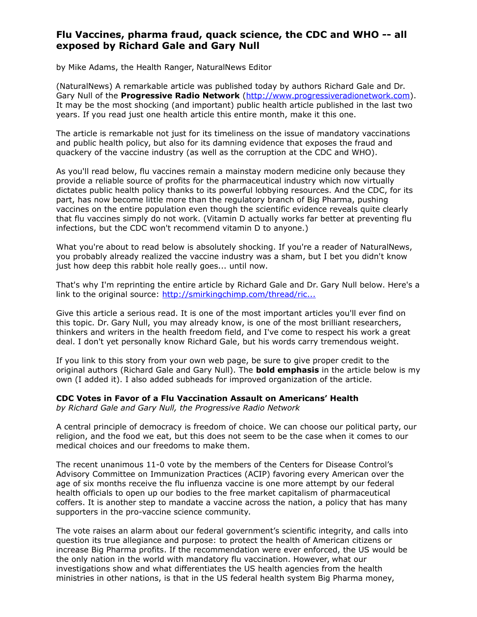# **Flu Vaccines, pharma fraud, quack science, the CDC and WHO -- all exposed by Richard Gale and Gary Null**

by Mike Adams, the Health Ranger, NaturalNews Editor

(NaturalNews) A remarkable article was published today by authors Richard Gale and Dr. Gary Null of the **Progressive Radio Network** [\(http://www.progressiveradionetwork.com\)](http://www.progressiveradionetwork.com/). It may be the most shocking (and important) public health article published in the last two years. If you read just one health article this entire month, make it this one.

The article is remarkable not just for its timeliness on the issue of mandatory vaccinations and public health policy, but also for its damning evidence that exposes the fraud and quackery of the vaccine industry (as well as the corruption at the CDC and WHO).

As you'll read below, flu vaccines remain a mainstay modern medicine only because they provide a reliable source of profits for the pharmaceutical industry which now virtually dictates public health policy thanks to its powerful lobbying resources. And the CDC, for its part, has now become little more than the regulatory branch of Big Pharma, pushing vaccines on the entire population even though the scientific evidence reveals quite clearly that flu vaccines simply do not work. (Vitamin D actually works far better at preventing flu infections, but the CDC won't recommend vitamin D to anyone.)

What you're about to read below is absolutely shocking. If you're a reader of NaturalNews, you probably already realized the vaccine industry was a sham, but I bet you didn't know just how deep this rabbit hole really goes... until now.

That's why I'm reprinting the entire article by Richard Gale and Dr. Gary Null below. Here's a link to the original source: [http://smirkingchimp.com/thread/ric...](http://smirkingchimp.com/thread/richardgale/29813/the-cdc-votes-in-favor-of-a-flu-vaccination-assault-on-americans-health)

Give this article a serious read. It is one of the most important articles you'll ever find on this topic. Dr. Gary Null, you may already know, is one of the most brilliant researchers, thinkers and writers in the health freedom field, and I've come to respect his work a great deal. I don't yet personally know Richard Gale, but his words carry tremendous weight.

If you link to this story from your own web page, be sure to give proper credit to the original authors (Richard Gale and Gary Null). The **bold emphasis** in the article below is my own (I added it). I also added subheads for improved organization of the article.

# **CDC Votes in Favor of a Flu Vaccination Assault on Americans' Health**

*by Richard Gale and Gary Null, the Progressive Radio Network*

A central principle of democracy is freedom of choice. We can choose our political party, our religion, and the food we eat, but this does not seem to be the case when it comes to our medical choices and our freedoms to make them.

The recent unanimous 11-0 vote by the members of the Centers for Disease Control's Advisory Committee on Immunization Practices (ACIP) favoring every American over the age of six months receive the flu influenza vaccine is one more attempt by our federal health officials to open up our bodies to the free market capitalism of pharmaceutical coffers. It is another step to mandate a vaccine across the nation, a policy that has many supporters in the pro-vaccine science community.

The vote raises an alarm about our federal government's scientific integrity, and calls into question its true allegiance and purpose: to protect the health of American citizens or increase Big Pharma profits. If the recommendation were ever enforced, the US would be the only nation in the world with mandatory flu vaccination. However, what our investigations show and what differentiates the US health agencies from the health ministries in other nations, is that in the US federal health system Big Pharma money,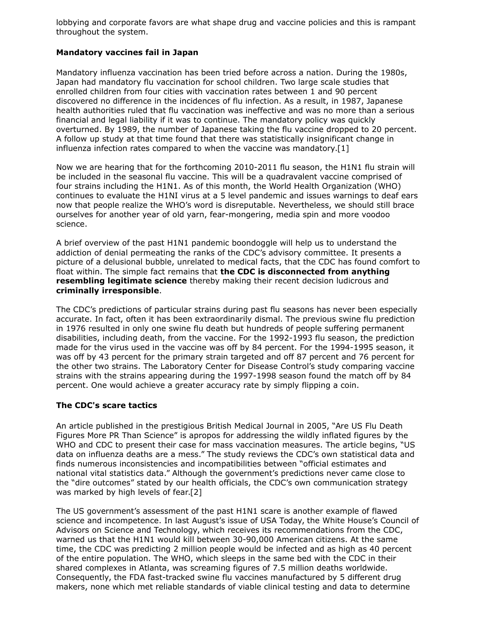lobbying and corporate favors are what shape drug and vaccine policies and this is rampant throughout the system.

# **Mandatory vaccines fail in Japan**

Mandatory influenza vaccination has been tried before across a nation. During the 1980s, Japan had mandatory flu vaccination for school children. Two large scale studies that enrolled children from four cities with vaccination rates between 1 and 90 percent discovered no difference in the incidences of flu infection. As a result, in 1987, Japanese health authorities ruled that flu vaccination was ineffective and was no more than a serious financial and legal liability if it was to continue. The mandatory policy was quickly overturned. By 1989, the number of Japanese taking the flu vaccine dropped to 20 percent. A follow up study at that time found that there was statistically insignificant change in influenza infection rates compared to when the vaccine was mandatory.[1]

Now we are hearing that for the forthcoming 2010-2011 flu season, the H1N1 flu strain will be included in the seasonal flu vaccine. This will be a quadravalent vaccine comprised of four strains including the H1N1. As of this month, the World Health Organization (WHO) continues to evaluate the H1NI virus at a 5 level pandemic and issues warnings to deaf ears now that people realize the WHO's word is disreputable. Nevertheless, we should still brace ourselves for another year of old yarn, fear-mongering, media spin and more voodoo science.

A brief overview of the past H1N1 pandemic boondoggle will help us to understand the addiction of denial permeating the ranks of the CDC's advisory committee. It presents a picture of a delusional bubble, unrelated to medical facts, that the CDC has found comfort to float within. The simple fact remains that **the CDC is disconnected from anything resembling legitimate science** thereby making their recent decision ludicrous and **criminally irresponsible**.

The CDC's predictions of particular strains during past flu seasons has never been especially accurate. In fact, often it has been extraordinarily dismal. The previous swine flu prediction in 1976 resulted in only one swine flu death but hundreds of people suffering permanent disabilities, including death, from the vaccine. For the 1992-1993 flu season, the prediction made for the virus used in the vaccine was off by 84 percent. For the 1994-1995 season, it was off by 43 percent for the primary strain targeted and off 87 percent and 76 percent for the other two strains. The Laboratory Center for Disease Control's study comparing vaccine strains with the strains appearing during the 1997-1998 season found the match off by 84 percent. One would achieve a greater accuracy rate by simply flipping a coin.

## **The CDC's scare tactics**

An article published in the prestigious British Medical Journal in 2005, "Are US Flu Death Figures More PR Than Science" is apropos for addressing the wildly inflated figures by the WHO and CDC to present their case for mass vaccination measures. The article begins, "US data on influenza deaths are a mess." The study reviews the CDC's own statistical data and finds numerous inconsistencies and incompatibilities between "official estimates and national vital statistics data." Although the government's predictions never came close to the "dire outcomes" stated by our health officials, the CDC's own communication strategy was marked by high levels of fear.[2]

The US government's assessment of the past H1N1 scare is another example of flawed science and incompetence. In last August's issue of USA Today, the White House's Council of Advisors on Science and Technology, which receives its recommendations from the CDC, warned us that the H1N1 would kill between 30-90,000 American citizens. At the same time, the CDC was predicting 2 million people would be infected and as high as 40 percent of the entire population. The WHO, which sleeps in the same bed with the CDC in their shared complexes in Atlanta, was screaming figures of 7.5 million deaths worldwide. Consequently, the FDA fast-tracked swine flu vaccines manufactured by 5 different drug makers, none which met reliable standards of viable clinical testing and data to determine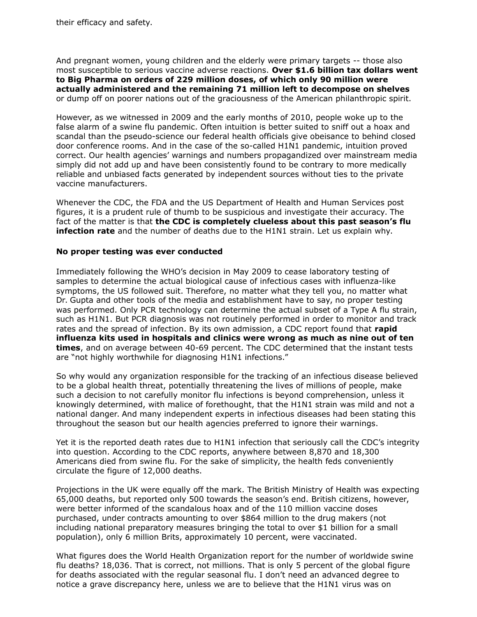their efficacy and safety.

And pregnant women, young children and the elderly were primary targets -- those also most susceptible to serious vaccine adverse reactions. **Over \$1.6 billion tax dollars went to Big Pharma on orders of 229 million doses, of which only 90 million were actually administered and the remaining 71 million left to decompose on shelves** or dump off on poorer nations out of the graciousness of the American philanthropic spirit.

However, as we witnessed in 2009 and the early months of 2010, people woke up to the false alarm of a swine flu pandemic. Often intuition is better suited to sniff out a hoax and scandal than the pseudo-science our federal health officials give obeisance to behind closed door conference rooms. And in the case of the so-called H1N1 pandemic, intuition proved correct. Our health agencies' warnings and numbers propagandized over mainstream media simply did not add up and have been consistently found to be contrary to more medically reliable and unbiased facts generated by independent sources without ties to the private vaccine manufacturers.

Whenever the CDC, the FDA and the US Department of Health and Human Services post figures, it is a prudent rule of thumb to be suspicious and investigate their accuracy. The fact of the matter is that **the CDC is completely clueless about this past season's flu infection rate** and the number of deaths due to the H1N1 strain. Let us explain why.

#### **No proper testing was ever conducted**

Immediately following the WHO's decision in May 2009 to cease laboratory testing of samples to determine the actual biological cause of infectious cases with influenza-like symptoms, the US followed suit. Therefore, no matter what they tell you, no matter what Dr. Gupta and other tools of the media and establishment have to say, no proper testing was performed. Only PCR technology can determine the actual subset of a Type A flu strain, such as H1N1. But PCR diagnosis was not routinely performed in order to monitor and track rates and the spread of infection. By its own admission, a CDC report found that **rapid influenza kits used in hospitals and clinics were wrong as much as nine out of ten times**, and on average between 40-69 percent. The CDC determined that the instant tests are "not highly worthwhile for diagnosing H1N1 infections."

So why would any organization responsible for the tracking of an infectious disease believed to be a global health threat, potentially threatening the lives of millions of people, make such a decision to not carefully monitor flu infections is beyond comprehension, unless it knowingly determined, with malice of forethought, that the H1N1 strain was mild and not a national danger. And many independent experts in infectious diseases had been stating this throughout the season but our health agencies preferred to ignore their warnings.

Yet it is the reported death rates due to H1N1 infection that seriously call the CDC's integrity into question. According to the CDC reports, anywhere between 8,870 and 18,300 Americans died from swine flu. For the sake of simplicity, the health feds conveniently circulate the figure of 12,000 deaths.

Projections in the UK were equally off the mark. The British Ministry of Health was expecting 65,000 deaths, but reported only 500 towards the season's end. British citizens, however, were better informed of the scandalous hoax and of the 110 million vaccine doses purchased, under contracts amounting to over \$864 million to the drug makers (not including national preparatory measures bringing the total to over \$1 billion for a small population), only 6 million Brits, approximately 10 percent, were vaccinated.

What figures does the World Health Organization report for the number of worldwide swine flu deaths? 18,036. That is correct, not millions. That is only 5 percent of the global figure for deaths associated with the regular seasonal flu. I don't need an advanced degree to notice a grave discrepancy here, unless we are to believe that the H1N1 virus was on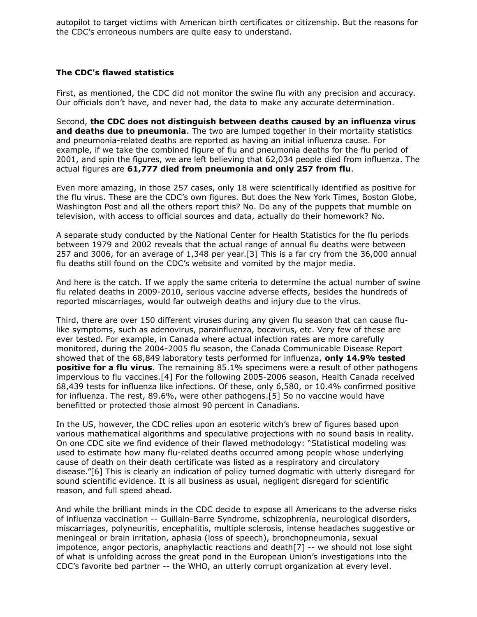autopilot to target victims with American birth certificates or citizenship. But the reasons for the CDC's erroneous numbers are quite easy to understand.

# **The CDC's flawed statistics**

First, as mentioned, the CDC did not monitor the swine flu with any precision and accuracy. Our officials don't have, and never had, the data to make any accurate determination.

Second, **the CDC does not distinguish between deaths caused by an influenza virus and deaths due to pneumonia**. The two are lumped together in their mortality statistics and pneumonia-related deaths are reported as having an initial influenza cause. For example, if we take the combined figure of flu and pneumonia deaths for the flu period of 2001, and spin the figures, we are left believing that 62,034 people died from influenza. The actual figures are **61,777 died from pneumonia and only 257 from flu**.

Even more amazing, in those 257 cases, only 18 were scientifically identified as positive for the flu virus. These are the CDC's own figures. But does the New York Times, Boston Globe, Washington Post and all the others report this? No. Do any of the puppets that mumble on television, with access to official sources and data, actually do their homework? No.

A separate study conducted by the National Center for Health Statistics for the flu periods between 1979 and 2002 reveals that the actual range of annual flu deaths were between 257 and 3006, for an average of 1,348 per year.[3] This is a far cry from the 36,000 annual flu deaths still found on the CDC's website and vomited by the major media.

And here is the catch. If we apply the same criteria to determine the actual number of swine flu related deaths in 2009-2010, serious vaccine adverse effects, besides the hundreds of reported miscarriages, would far outweigh deaths and injury due to the virus.

Third, there are over 150 different viruses during any given flu season that can cause flulike symptoms, such as adenovirus, parainfluenza, bocavirus, etc. Very few of these are ever tested. For example, in Canada where actual infection rates are more carefully monitored, during the 2004-2005 flu season, the Canada Communicable Disease Report showed that of the 68,849 laboratory tests performed for influenza, **only 14.9% tested positive for a flu virus**. The remaining 85.1% specimens were a result of other pathogens impervious to flu vaccines.[4] For the following 2005-2006 season, Health Canada received 68,439 tests for influenza like infections. Of these, only 6,580, or 10.4% confirmed positive for influenza. The rest, 89.6%, were other pathogens.[5] So no vaccine would have benefitted or protected those almost 90 percent in Canadians.

In the US, however, the CDC relies upon an esoteric witch's brew of figures based upon various mathematical algorithms and speculative projections with no sound basis in reality. On one CDC site we find evidence of their flawed methodology: "Statistical modeling was used to estimate how many flu-related deaths occurred among people whose underlying cause of death on their death certificate was listed as a respiratory and circulatory disease."[6] This is clearly an indication of policy turned dogmatic with utterly disregard for sound scientific evidence. It is all business as usual, negligent disregard for scientific reason, and full speed ahead.

And while the brilliant minds in the CDC decide to expose all Americans to the adverse risks of influenza vaccination -- Guillain-Barre Syndrome, schizophrenia, neurological disorders, miscarriages, polyneuritis, encephalitis, multiple sclerosis, intense headaches suggestive or meningeal or brain irritation, aphasia (loss of speech), bronchopneumonia, sexual impotence, angor pectoris, anaphylactic reactions and death[7] -- we should not lose sight of what is unfolding across the great pond in the European Union's investigations into the CDC's favorite bed partner -- the WHO, an utterly corrupt organization at every level.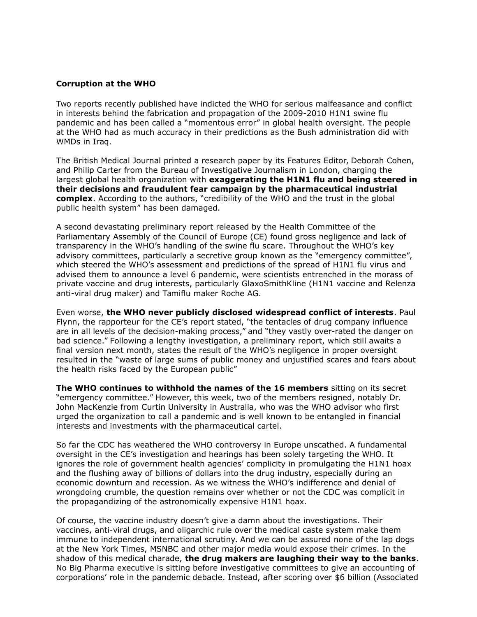#### **Corruption at the WHO**

Two reports recently published have indicted the WHO for serious malfeasance and conflict in interests behind the fabrication and propagation of the 2009-2010 H1N1 swine flu pandemic and has been called a "momentous error" in global health oversight. The people at the WHO had as much accuracy in their predictions as the Bush administration did with WMDs in Iraq.

The British Medical Journal printed a research paper by its Features Editor, Deborah Cohen, and Philip Carter from the Bureau of Investigative Journalism in London, charging the largest global health organization with **exaggerating the H1N1 flu and being steered in their decisions and fraudulent fear campaign by the pharmaceutical industrial complex**. According to the authors, "credibility of the WHO and the trust in the global public health system" has been damaged.

A second devastating preliminary report released by the Health Committee of the Parliamentary Assembly of the Council of Europe (CE) found gross negligence and lack of transparency in the WHO's handling of the swine flu scare. Throughout the WHO's key advisory committees, particularly a secretive group known as the "emergency committee", which steered the WHO's assessment and predictions of the spread of H1N1 flu virus and advised them to announce a level 6 pandemic, were scientists entrenched in the morass of private vaccine and drug interests, particularly GlaxoSmithKline (H1N1 vaccine and Relenza anti-viral drug maker) and Tamiflu maker Roche AG.

Even worse, **the WHO never publicly disclosed widespread conflict of interests**. Paul Flynn, the rapporteur for the CE's report stated, "the tentacles of drug company influence are in all levels of the decision-making process," and "they vastly over-rated the danger on bad science." Following a lengthy investigation, a preliminary report, which still awaits a final version next month, states the result of the WHO's negligence in proper oversight resulted in the "waste of large sums of public money and unjustified scares and fears about the health risks faced by the European public"

**The WHO continues to withhold the names of the 16 members** sitting on its secret "emergency committee." However, this week, two of the members resigned, notably Dr. John MacKenzie from Curtin University in Australia, who was the WHO advisor who first urged the organization to call a pandemic and is well known to be entangled in financial interests and investments with the pharmaceutical cartel.

So far the CDC has weathered the WHO controversy in Europe unscathed. A fundamental oversight in the CE's investigation and hearings has been solely targeting the WHO. It ignores the role of government health agencies' complicity in promulgating the H1N1 hoax and the flushing away of billions of dollars into the drug industry, especially during an economic downturn and recession. As we witness the WHO's indifference and denial of wrongdoing crumble, the question remains over whether or not the CDC was complicit in the propagandizing of the astronomically expensive H1N1 hoax.

Of course, the vaccine industry doesn't give a damn about the investigations. Their vaccines, anti-viral drugs, and oligarchic rule over the medical caste system make them immune to independent international scrutiny. And we can be assured none of the lap dogs at the New York Times, MSNBC and other major media would expose their crimes. In the shadow of this medical charade, **the drug makers are laughing their way to the banks**. No Big Pharma executive is sitting before investigative committees to give an accounting of corporations' role in the pandemic debacle. Instead, after scoring over \$6 billion (Associated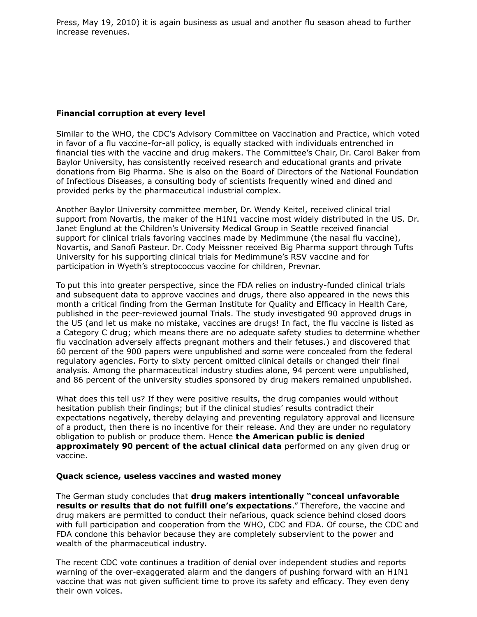Press, May 19, 2010) it is again business as usual and another flu season ahead to further increase revenues.

# **Financial corruption at every level**

Similar to the WHO, the CDC's Advisory Committee on Vaccination and Practice, which voted in favor of a flu vaccine-for-all policy, is equally stacked with individuals entrenched in financial ties with the vaccine and drug makers. The Committee's Chair, Dr. Carol Baker from Baylor University, has consistently received research and educational grants and private donations from Big Pharma. She is also on the Board of Directors of the National Foundation of Infectious Diseases, a consulting body of scientists frequently wined and dined and provided perks by the pharmaceutical industrial complex.

Another Baylor University committee member, Dr. Wendy Keitel, received clinical trial support from Novartis, the maker of the H1N1 vaccine most widely distributed in the US. Dr. Janet Englund at the Children's University Medical Group in Seattle received financial support for clinical trials favoring vaccines made by Medimmune (the nasal flu vaccine), Novartis, and Sanofi Pasteur. Dr. Cody Meissner received Big Pharma support through Tufts University for his supporting clinical trials for Medimmune's RSV vaccine and for participation in Wyeth's streptococcus vaccine for children, Prevnar.

To put this into greater perspective, since the FDA relies on industry-funded clinical trials and subsequent data to approve vaccines and drugs, there also appeared in the news this month a critical finding from the German Institute for Quality and Efficacy in Health Care, published in the peer-reviewed journal Trials. The study investigated 90 approved drugs in the US (and let us make no mistake, vaccines are drugs! In fact, the flu vaccine is listed as a Category C drug; which means there are no adequate safety studies to determine whether flu vaccination adversely affects pregnant mothers and their fetuses.) and discovered that 60 percent of the 900 papers were unpublished and some were concealed from the federal regulatory agencies. Forty to sixty percent omitted clinical details or changed their final analysis. Among the pharmaceutical industry studies alone, 94 percent were unpublished, and 86 percent of the university studies sponsored by drug makers remained unpublished.

What does this tell us? If they were positive results, the drug companies would without hesitation publish their findings; but if the clinical studies' results contradict their expectations negatively, thereby delaying and preventing regulatory approval and licensure of a product, then there is no incentive for their release. And they are under no regulatory obligation to publish or produce them. Hence **the American public is denied approximately 90 percent of the actual clinical data** performed on any given drug or vaccine.

## **Quack science, useless vaccines and wasted money**

The German study concludes that **drug makers intentionally "conceal unfavorable results or results that do not fulfill one's expectations**." Therefore, the vaccine and drug makers are permitted to conduct their nefarious, quack science behind closed doors with full participation and cooperation from the WHO, CDC and FDA. Of course, the CDC and FDA condone this behavior because they are completely subservient to the power and wealth of the pharmaceutical industry.

The recent CDC vote continues a tradition of denial over independent studies and reports warning of the over-exaggerated alarm and the dangers of pushing forward with an H1N1 vaccine that was not given sufficient time to prove its safety and efficacy. They even deny their own voices.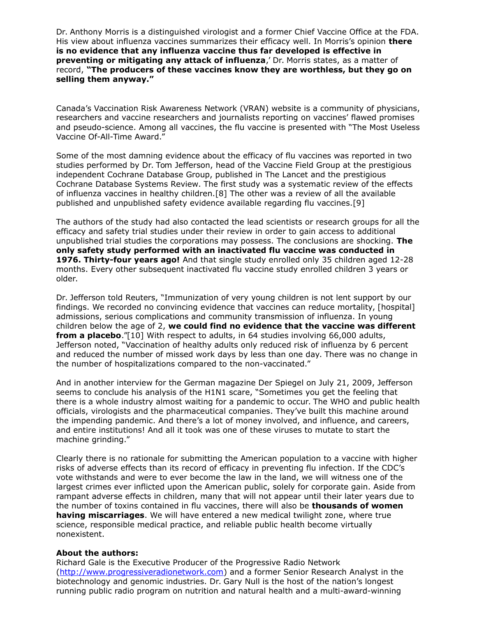Dr. Anthony Morris is a distinguished virologist and a former Chief Vaccine Office at the FDA. His view about influenza vaccines summarizes their efficacy well. In Morris's opinion **there is no evidence that any influenza vaccine thus far developed is effective in preventing or mitigating any attack of influenza**,' Dr. Morris states, as a matter of record, **"The producers of these vaccines know they are worthless, but they go on selling them anyway."**

Canada's Vaccination Risk Awareness Network (VRAN) website is a community of physicians, researchers and vaccine researchers and journalists reporting on vaccines' flawed promises and pseudo-science. Among all vaccines, the flu vaccine is presented with "The Most Useless Vaccine Of-All-Time Award."

Some of the most damning evidence about the efficacy of flu vaccines was reported in two studies performed by Dr. Tom Jefferson, head of the Vaccine Field Group at the prestigious independent Cochrane Database Group, published in The Lancet and the prestigious Cochrane Database Systems Review. The first study was a systematic review of the effects of influenza vaccines in healthy children.[8] The other was a review of all the available published and unpublished safety evidence available regarding flu vaccines.[9]

The authors of the study had also contacted the lead scientists or research groups for all the efficacy and safety trial studies under their review in order to gain access to additional unpublished trial studies the corporations may possess. The conclusions are shocking. **The only safety study performed with an inactivated flu vaccine was conducted in 1976. Thirty-four years ago!** And that single study enrolled only 35 children aged 12-28 months. Every other subsequent inactivated flu vaccine study enrolled children 3 years or older.

Dr. Jefferson told Reuters, "Immunization of very young children is not lent support by our findings. We recorded no convincing evidence that vaccines can reduce mortality, [hospital] admissions, serious complications and community transmission of influenza. In young children below the age of 2, **we could find no evidence that the vaccine was different from a placebo**."[10] With respect to adults, in 64 studies involving 66,000 adults, Jefferson noted, "Vaccination of healthy adults only reduced risk of influenza by 6 percent and reduced the number of missed work days by less than one day. There was no change in the number of hospitalizations compared to the non-vaccinated."

And in another interview for the German magazine Der Spiegel on July 21, 2009, Jefferson seems to conclude his analysis of the H1N1 scare, "Sometimes you get the feeling that there is a whole industry almost waiting for a pandemic to occur. The WHO and public health officials, virologists and the pharmaceutical companies. They've built this machine around the impending pandemic. And there's a lot of money involved, and influence, and careers, and entire institutions! And all it took was one of these viruses to mutate to start the machine grinding."

Clearly there is no rationale for submitting the American population to a vaccine with higher risks of adverse effects than its record of efficacy in preventing flu infection. If the CDC's vote withstands and were to ever become the law in the land, we will witness one of the largest crimes ever inflicted upon the American public, solely for corporate gain. Aside from rampant adverse effects in children, many that will not appear until their later years due to the number of toxins contained in flu vaccines, there will also be **thousands of women having miscarriages**. We will have entered a new medical twilight zone, where true science, responsible medical practice, and reliable public health become virtually nonexistent.

## **About the authors:**

Richard Gale is the Executive Producer of the Progressive Radio Network [\(http://www.progressiveradionetwork.com\)](http://www.progressiveradionetwork.com/) and a former Senior Research Analyst in the biotechnology and genomic industries. Dr. Gary Null is the host of the nation's longest running public radio program on nutrition and natural health and a multi-award-winning